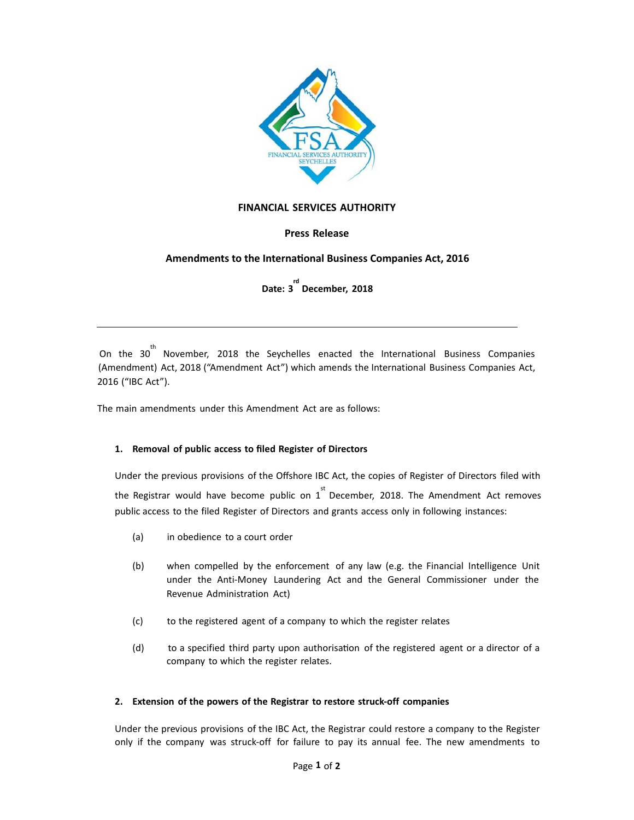

## **FINANCIAL SERVICES AUTHORITY**

# **Press Release**

# Amendments to the International Business Companies Act, 2016

# **Date: 3 rd December, 2018**

<u> 1989 - Johann Stoff, amerikansk politiker (d. 1989)</u>

On the  $30^{th}$  November, 2018 the Seychelles enacted the International Business Companies (Amendment) Act, 2018 ("Amendment Act") which amends the International Business Companies Act, 2016 ("IBC Act"). 

The main amendments under this Amendment Act are as follows:

#### **1. Removal of public access to filed Register of Directors**

Under the previous provisions of the [Offshore](https://offshore.sc) IBC Act, the copies of Register of Directors filed with the Registrar would have become public on  $1^{st}$  December, 2018. The Amendment Act removes public access to the filed Register of Directors and grants access only in following instances:

- (a) in obedience to a court order
- (b) when compelled by the enforcement of any law (e.g. the Financial Intelligence Unit under the Anti-Money Laundering Act and the General Commissioner under the Revenue Administration Act)
- (c) to the registered agent of a company to which the register relates
- (d) to a specified third party upon authorisation of the registered agent or a director of a company to which the register relates.

#### **2. Extension of the powers of the [Registrar](https://offshore.sc) to restore struck-off companies**

Under the previous provisions of the IBC Act, the Registrar could restore a company to the Register only if the company was struck-off for failure to pay its annual fee. The new amendments to